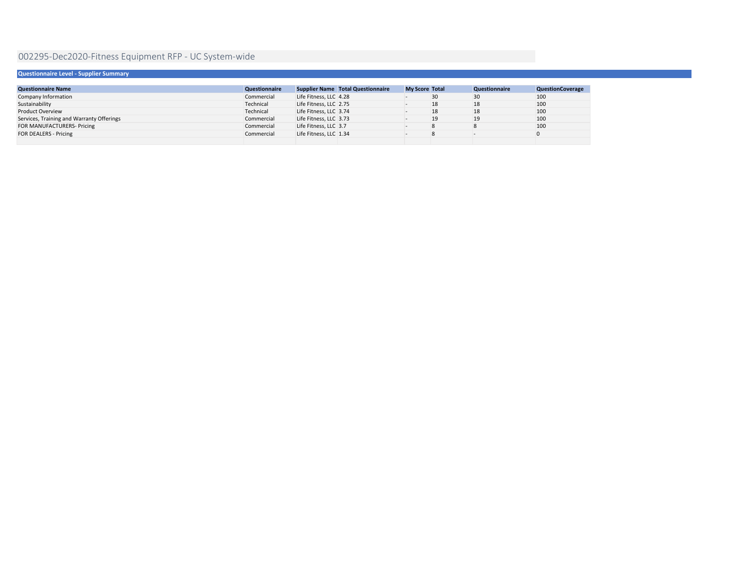| Questionnaire Level - Supplier Summary    |                      |                                          |                       |                      |                         |  |
|-------------------------------------------|----------------------|------------------------------------------|-----------------------|----------------------|-------------------------|--|
|                                           |                      |                                          |                       |                      |                         |  |
| <b>Questionnaire Name</b>                 | <b>Questionnaire</b> | <b>Supplier Name Total Questionnaire</b> | <b>My Score Total</b> | <b>Questionnaire</b> | <b>QuestionCoverage</b> |  |
| Company Information                       | Commercial           | Life Fitness, LLC 4.28                   | 30                    | 30                   | 100                     |  |
| Sustainability                            | Technical            | Life Fitness, LLC 2.75                   | 18                    | 18                   | 100                     |  |
| <b>Product Overview</b>                   | Technical            | Life Fitness, LLC 3.74                   | 18                    | 18                   | 100                     |  |
| Services, Training and Warranty Offerings | Commercial           | Life Fitness, LLC 3.73                   | 19                    | 19                   | 100                     |  |
| FOR MANUFACTURERS- Pricing                | Commercial           | Life Fitness, LLC 3.7                    | 8                     |                      | 100                     |  |
| <b>FOR DEALERS - Pricing</b>              | Commercial           | Life Fitness, LLC 1.34                   |                       |                      |                         |  |
|                                           |                      |                                          |                       |                      |                         |  |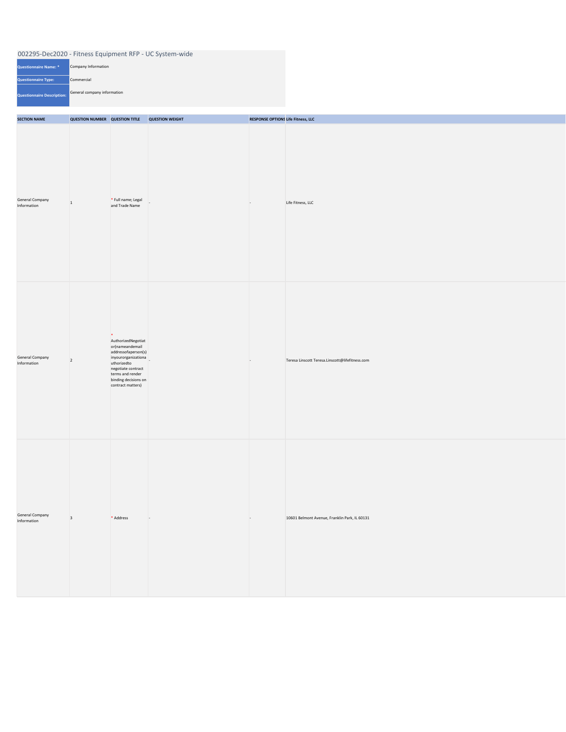| <b>SECTION NAME</b>                   | <b>QUESTION NUMBER QUESTION TITLE</b> |                                                                                                                                                                                                     | <b>QUESTION WEIGHT</b> | <b>RESPONSE OPTIONS Life Fitness, LLC</b> |                                                 |
|---------------------------------------|---------------------------------------|-----------------------------------------------------------------------------------------------------------------------------------------------------------------------------------------------------|------------------------|-------------------------------------------|-------------------------------------------------|
| <b>General Company</b><br>Information | $\vert$ 1                             | * Full name; Legal<br>and Trade Name                                                                                                                                                                |                        | $\overline{a}$                            | Life Fitness, LLC                               |
| <b>General Company</b><br>Information | $\vert$ 2                             | $\ast$<br>AuthorizedNegotiat<br>or(nameandemail<br>addressofaperson(s)<br>inyourorganizationa<br>uthorizedto<br>negotiate contract<br>terms and render<br>binding decisions on<br>contract matters) |                        | $\sim$                                    | Teresa Linscott Teresa.Linscott@lifefitness.com |
| <b>General Company</b><br>Information | $\vert$ 3                             | * Address                                                                                                                                                                                           | $\sim$                 | $\overline{a}$                            | 10601 Belmont Avenue, Franklin Park, IL 60131   |

| Questionnaire Name: *             | Company Information         |
|-----------------------------------|-----------------------------|
| <b>Questionnaire Type:</b>        | Commercial                  |
| <b>Questionnaire Description:</b> | General company information |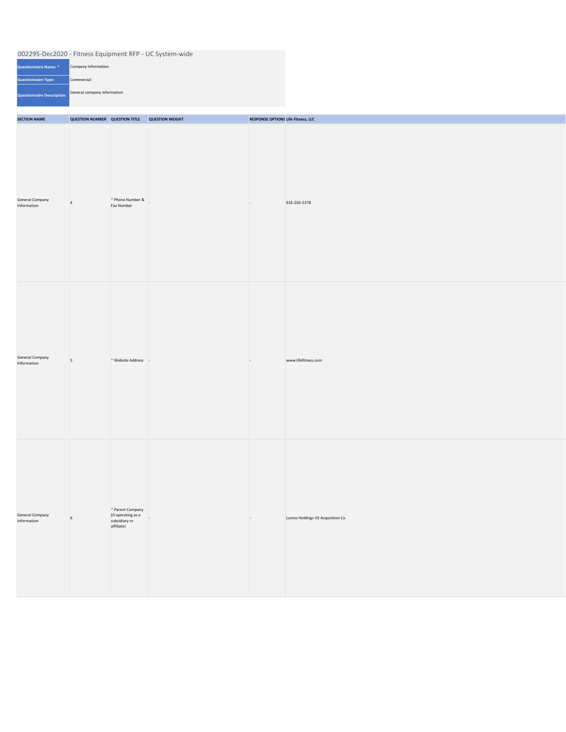| <b>Questionnaire Name: *</b> | Company Information         |
|------------------------------|-----------------------------|
| <b>Questionnaire Type:</b>   | Commercial                  |
| Questionnaire Description:   | General company information |

| <b>SECTION NAME</b>                   | <b>QUESTION NUMBER QUESTION TITLE</b> |                                                                       | <b>QUESTION WEIGHT</b> | <b>RESPONSE OPTIONS Life Fitness, LLC</b> |                                  |
|---------------------------------------|---------------------------------------|-----------------------------------------------------------------------|------------------------|-------------------------------------------|----------------------------------|
| <b>General Company</b><br>Information | $\overline{4}$                        | * Phone Number &<br>Fax Number                                        | $\mathbf{I}$           | $\sim$                                    | 916-205-5378                     |
| <b>General Company</b><br>Information | $\overline{\mathbf{5}}$               | * Website Address -                                                   |                        | $\sim$                                    | www.lifefitness.com              |
| <b>General Company</b><br>Information | $6\overline{6}$                       | * Parent Company<br>(if operating as a<br>subsidiary or<br>affiliate) |                        | $\sim$                                    | Lumos Holdings US Acquisition Co |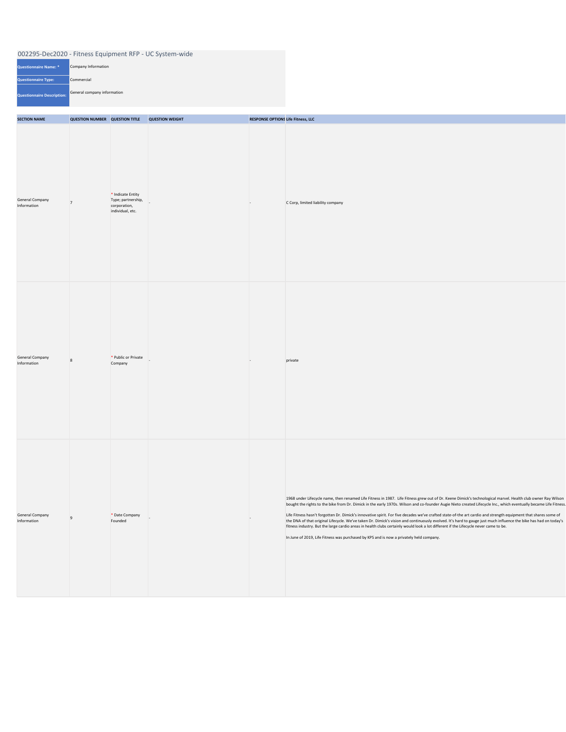| Questionnaire Name: *      | Company Information         |
|----------------------------|-----------------------------|
| <b>Questionnaire Type:</b> | Commercial                  |
| Questionnaire Description: | General company information |

| <b>SECTION NAME</b>                   | <b>QUESTION NUMBER QUESTION TITLE</b> |                                                                               | <b>QUESTION WEIGHT</b> | <b>RESPONSE OPTIONS Life Fitness, LLC</b> |                                                                                                                                                                                                                                                                                                                                                                                                                                                                                                                                                                                                                                                                                                                                                                                                                                                                                                             |
|---------------------------------------|---------------------------------------|-------------------------------------------------------------------------------|------------------------|-------------------------------------------|-------------------------------------------------------------------------------------------------------------------------------------------------------------------------------------------------------------------------------------------------------------------------------------------------------------------------------------------------------------------------------------------------------------------------------------------------------------------------------------------------------------------------------------------------------------------------------------------------------------------------------------------------------------------------------------------------------------------------------------------------------------------------------------------------------------------------------------------------------------------------------------------------------------|
| <b>General Company</b><br>Information | $\overline{7}$                        | $*$ Indicate Entity<br>Type; partnership,<br>corporation,<br>individual, etc. |                        | $\sim$                                    | C Corp, limited liability company                                                                                                                                                                                                                                                                                                                                                                                                                                                                                                                                                                                                                                                                                                                                                                                                                                                                           |
| <b>General Company</b><br>Information | 8                                     | * Public or Private<br>Company                                                | $\sim$                 | $\sim$                                    | private                                                                                                                                                                                                                                                                                                                                                                                                                                                                                                                                                                                                                                                                                                                                                                                                                                                                                                     |
| <b>General Company</b><br>Information | $\overline{9}$                        | * Date Company<br>Founded                                                     |                        | $\sim$                                    | 1968 under Lifecycle name, then renamed Life Fitness in 1987. Life Fitness grew out of Dr. Keene Dimick's technological marvel. Health club owner Ray Wilson<br>bought the rights to the bike from Dr. Dimick in the early 1970s. Wilson and co-founder Augie Nieto created Lifecycle Inc., which eventually became Life Fitness.<br>Life Fitness hasn't forgotten Dr. Dimick's innovative spirit. For five decades we've crafted state-of-the art cardio and strength equipment that shares some of<br>the DNA of that original Lifecycle. We've taken Dr. Dimick's vision and continuously evolved. It's hard to gauge just much influence the bike has had on today's<br>fitness industry. But the large cardio areas in health clubs certainly would look a lot different if the Lifecycle never came to be.<br>In June of 2019, Life Fitness was purchased by KPS and is now a privately held company. |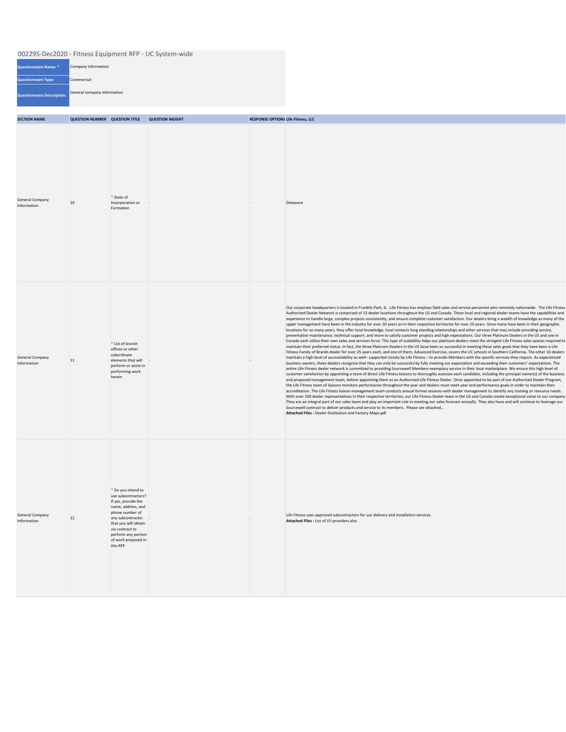| Questionnaire Name: *      | Company Information         |
|----------------------------|-----------------------------|
| <b>Questionnaire Type:</b> | Commercial                  |
| Questionnaire Description: | General company information |

| <b>SECTION NAME</b>                   | <b>QUESTION NUMBER QUESTION TITLE</b> |                                                                                                                                                                                                                                        | <b>QUESTION WEIGHT</b> | <b>RESPONSE OPTIONS Life Fitness, LLC</b> |                                                                                                                                                                                                                                                                                                                                                                                                                                                                                                                                                                                                                                                                                                                                                                                                                                                                                                                                                                                                                                                                                                                                                                                                                                                                                                                                                                                                                                                                                                                                                                                                                                                                                                                                                                                                                                                                                                                                                                                                                                                                                                                                                                                                                                                                                                                                                                                                                                                                                                                                                                                                                                                                                                                                                                                                                                                                                                                                                                                                                                                                                                                                                           |
|---------------------------------------|---------------------------------------|----------------------------------------------------------------------------------------------------------------------------------------------------------------------------------------------------------------------------------------|------------------------|-------------------------------------------|-----------------------------------------------------------------------------------------------------------------------------------------------------------------------------------------------------------------------------------------------------------------------------------------------------------------------------------------------------------------------------------------------------------------------------------------------------------------------------------------------------------------------------------------------------------------------------------------------------------------------------------------------------------------------------------------------------------------------------------------------------------------------------------------------------------------------------------------------------------------------------------------------------------------------------------------------------------------------------------------------------------------------------------------------------------------------------------------------------------------------------------------------------------------------------------------------------------------------------------------------------------------------------------------------------------------------------------------------------------------------------------------------------------------------------------------------------------------------------------------------------------------------------------------------------------------------------------------------------------------------------------------------------------------------------------------------------------------------------------------------------------------------------------------------------------------------------------------------------------------------------------------------------------------------------------------------------------------------------------------------------------------------------------------------------------------------------------------------------------------------------------------------------------------------------------------------------------------------------------------------------------------------------------------------------------------------------------------------------------------------------------------------------------------------------------------------------------------------------------------------------------------------------------------------------------------------------------------------------------------------------------------------------------------------------------------------------------------------------------------------------------------------------------------------------------------------------------------------------------------------------------------------------------------------------------------------------------------------------------------------------------------------------------------------------------------------------------------------------------------------------------------------------------|
| <b>General Company</b><br>Information | 10                                    | * State of<br>Incorporation or<br>Formation                                                                                                                                                                                            | H.                     |                                           | Delaware                                                                                                                                                                                                                                                                                                                                                                                                                                                                                                                                                                                                                                                                                                                                                                                                                                                                                                                                                                                                                                                                                                                                                                                                                                                                                                                                                                                                                                                                                                                                                                                                                                                                                                                                                                                                                                                                                                                                                                                                                                                                                                                                                                                                                                                                                                                                                                                                                                                                                                                                                                                                                                                                                                                                                                                                                                                                                                                                                                                                                                                                                                                                                  |
| <b>General Company</b><br>Information | 11                                    | * List of branch<br>offices or other<br>subordinate<br>elements that will<br>perform or assist in<br>performing work<br>herein                                                                                                         |                        |                                           | Our corporate headquarters is located in Franklin Park, IL. Life Fitness has employs field sales and service personnel who remotely nationwide. The Life Fitness<br>Authorized Dealer Network is comprised of 13 dealer locations throughout the US and Canada. These local and regional dealer teams have the capabilities and<br>experience to handle large, complex projects consistently, and ensure complete customer satisfaction. Our dealers bring a wealth of knowledge as many of the<br>upper management have been in the industry for over 20 years an in their respective territories for over 20 years. Since many have been in their geographic<br>locations for so many years, they offer local knowledge, local contacts long standing relationships and other services that may include providing service,<br>preventative maintenance, technical support, and more to satisfy customer projects and high expectations. Our three Platinum Dealers in the US and one in<br>Canada each utilize their own sales and services force. This type of scalability helps our platinum dealers meet the stringent Life Fitness sales quotas required to<br>maintain their preferred status. In fact, the three Platinum Dealers in the US have been so successful in meeting these sales goals that they have been a Life<br>Fitness Family of Brands dealer for over 25 years each, and one of them, Advanced Exercise, covers the UC schools in Southern California. The other 10 dealers<br>maintain a high level of accountability as well-supported closely by Life Fitness - to provide Members with the specific services they require. As experienced<br>business owners, these dealers recognize that they can only be successful by fully meeting our expectation and exceeding their customers' expectations. The<br>entire Life Fitness dealer network is committed to providing Sourcewell Members exemplary service in their local marketplace. We ensure this high level of<br>customer satisfaction by appointing a team of direct Life Fitness liaisons to thoroughly assesses each candidate, including the principal owner(s) of the business<br>and proposed management team, before appointing them as an Authorized Life Fitness Dealer. Once appointed to be part of our Authorized Dealer Program,<br>the Life Fitness team of liaisons monitors performance throughout the year and dealers must meet year end performance goals in order to maintain their<br>accreditation. The Life Fitness liaison management team conducts annual formal sessions with dealer management to identify any training or resource needs.<br>With over 100 dealer representatives in their respective territories, our Life Fitness Dealer team in the US and Canada create exceptional value to our company<br>They are an integral part of our sales team and play an important role in meeting our sales forecast annually. They also have and will continue to leverage our<br>Sourcewell contract to deliver products and service to its members. Please see attached<br>Attached Files : Dealer Distibution and Factory Maps.pdf |
| <b>General Company</b><br>Information | 12                                    | * Do you intend to<br>use subcontractors?<br>If yes, provide the<br>name, address, and<br>phone number of<br>any subcontractor -<br>that you will obtain<br>via contract to<br>perform any portion<br>of work proposed in<br>this RFP. |                        |                                           | Life Fitness uses approved subcontractors for our delivery and installation services.<br>Attached Files : List of LFI providers.xlsx                                                                                                                                                                                                                                                                                                                                                                                                                                                                                                                                                                                                                                                                                                                                                                                                                                                                                                                                                                                                                                                                                                                                                                                                                                                                                                                                                                                                                                                                                                                                                                                                                                                                                                                                                                                                                                                                                                                                                                                                                                                                                                                                                                                                                                                                                                                                                                                                                                                                                                                                                                                                                                                                                                                                                                                                                                                                                                                                                                                                                      |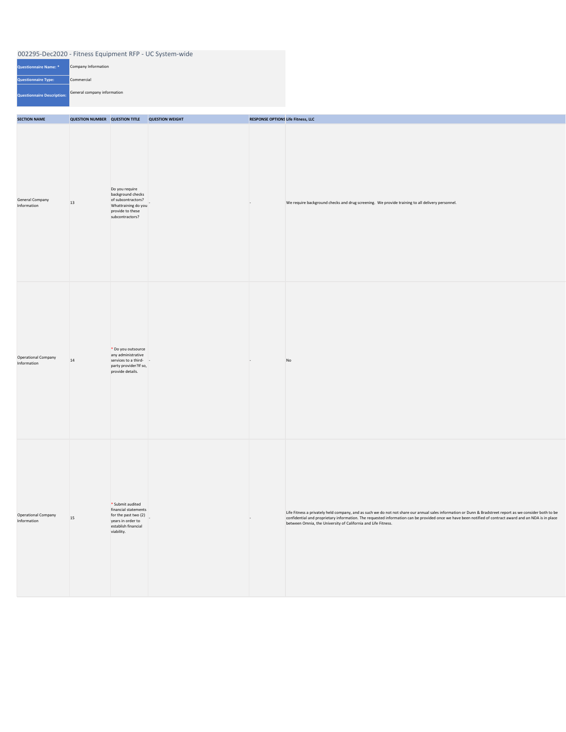| <b>Questionnaire Name: *</b> | Company Information         |
|------------------------------|-----------------------------|
| <b>Questionnaire Type:</b>   | Commercial                  |
| Questionnaire Description:   | General company information |

| <b>SECTION NAME</b>                   | <b>QUESTION NUMBER QUESTION TITLE QUESTION WEIGHT</b> |                                                                                                                                | <b>RESPONSE OPTIONS Life Fitness, LLC</b> |                                                                                                                                                                                                                                                                                                                                                                                       |
|---------------------------------------|-------------------------------------------------------|--------------------------------------------------------------------------------------------------------------------------------|-------------------------------------------|---------------------------------------------------------------------------------------------------------------------------------------------------------------------------------------------------------------------------------------------------------------------------------------------------------------------------------------------------------------------------------------|
| <b>General Company</b><br>Information | 13                                                    | Do you require<br>background checks<br>of subcontractors?<br>Whattraining do you<br>provide to these<br>subcontractors?        | $\overline{\phantom{a}}$                  | We require background checks and drug screening. We provide training to all delivery personnel.                                                                                                                                                                                                                                                                                       |
| Operational Company<br>Information    | 14                                                    | * Do you outsource<br>any administrative<br>services to a third-<br>party provider?If so,<br>provide details.                  | $\overline{ }$                            | N <sub>O</sub>                                                                                                                                                                                                                                                                                                                                                                        |
| Operational Company<br>Information    | 15                                                    | $*$ Submit audited<br>financial statements<br>for the past two $(2)$<br>years in order to<br>establish financial<br>viability. | $\overline{a}$                            | Life Fitness a privately held company, and as such we do not not share our annual sales information or Dunn & Bradstreet report as we consider both to be<br>confidential and proprietary information. The requested information can be provided once we have been notified of contract award and an NDA is in place<br>between Omnia, the University of California and Life Fitness. |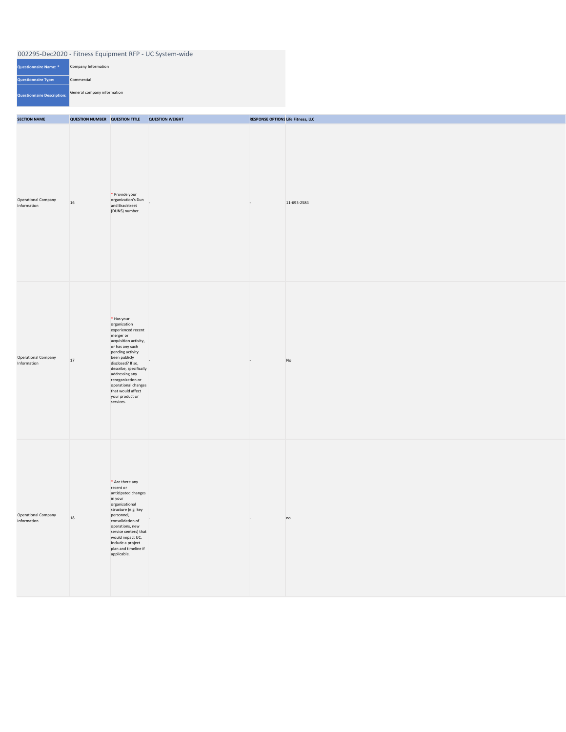| <b>Questionnaire Name: *</b> | Company Information         |
|------------------------------|-----------------------------|
| <b>Questionnaire Type:</b>   | Commercial                  |
| Questionnaire Description:   | General company information |

| <b>SECTION NAME</b>                       | <b>QUESTION NUMBER QUESTION TITLE</b> |                                                                                                                                                                                                                                                                                                                    | <b>QUESTION WEIGHT</b> | <b>RESPONSE OPTIONS Life Fitness, LLC</b> |             |
|-------------------------------------------|---------------------------------------|--------------------------------------------------------------------------------------------------------------------------------------------------------------------------------------------------------------------------------------------------------------------------------------------------------------------|------------------------|-------------------------------------------|-------------|
| <b>Operational Company</b><br>Information | 16                                    | * Provide your<br>organization's Dun<br>and Bradstreet<br>(DUNS) number.                                                                                                                                                                                                                                           | $\vert$ –              | $\sim$                                    | 11-693-2584 |
| Operational Company<br>Information        | 17                                    | $*$ Has your<br>organization<br>experienced recent<br>merger or<br>acquisition activity,<br>or has any such<br>pending activity<br>been publicly<br>disclosed? If so,<br>describe, specifically<br>addressing any<br>reorganization or<br>operational changes<br>that would affect<br>your product or<br>services. |                        | $\overline{a}$                            | No          |
| Operational Company<br>Information        | 18                                    | $*$ Are there any<br>recent or<br>anticipated changes<br>in your<br>organizational<br>structure (e.g. key<br>personnel,<br>consolidation of<br>operations, new<br>service centers) that<br>would impact UC.<br>Include a project<br>plan and timeline if<br>applicable.                                            | $\mathbf{I}$           | $\sim$                                    | no          |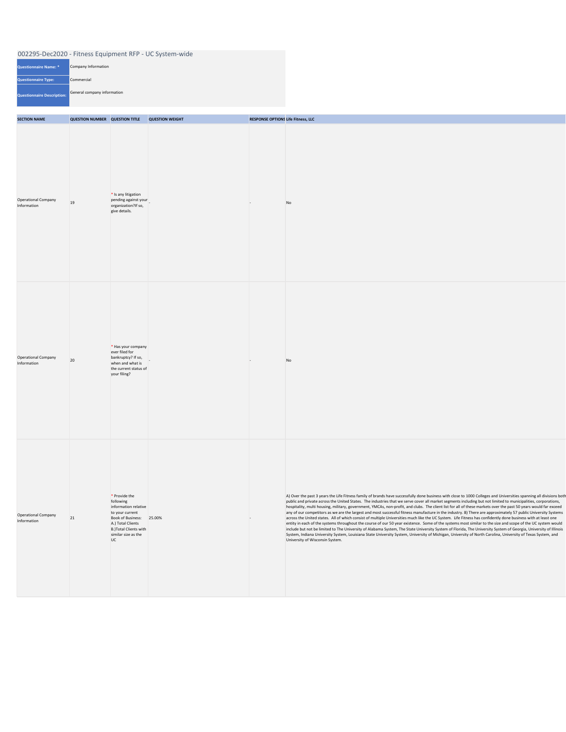| Questionnaire Name: *             | Company Information         |
|-----------------------------------|-----------------------------|
| <b>Questionnaire Type:</b>        | Commercial                  |
| <b>Questionnaire Description:</b> | General company information |

| <b>SECTION NAME</b>                       | <b>QUESTION NUMBER QUESTION TITLE</b> |                                                                                                                                                                               | <b>QUESTION WEIGHT</b> | <b>RESPONSE OPTIONS Life Fitness, LLC</b> |                                                                                                                                                                                                                                                                                                                                                                                                                                                                                                                                                                                                                                                                                                                                                                                                                                                                                                                                                                                                                                                                                                                                                                                                                                                                                                                                                                                  |
|-------------------------------------------|---------------------------------------|-------------------------------------------------------------------------------------------------------------------------------------------------------------------------------|------------------------|-------------------------------------------|----------------------------------------------------------------------------------------------------------------------------------------------------------------------------------------------------------------------------------------------------------------------------------------------------------------------------------------------------------------------------------------------------------------------------------------------------------------------------------------------------------------------------------------------------------------------------------------------------------------------------------------------------------------------------------------------------------------------------------------------------------------------------------------------------------------------------------------------------------------------------------------------------------------------------------------------------------------------------------------------------------------------------------------------------------------------------------------------------------------------------------------------------------------------------------------------------------------------------------------------------------------------------------------------------------------------------------------------------------------------------------|
| <b>Operational Company</b><br>Information | 19                                    | $*$ Is any litigation<br>pending against your<br>organization?If so,<br>give details.                                                                                         |                        | $\overline{a}$                            | No                                                                                                                                                                                                                                                                                                                                                                                                                                                                                                                                                                                                                                                                                                                                                                                                                                                                                                                                                                                                                                                                                                                                                                                                                                                                                                                                                                               |
| <b>Operational Company</b><br>Information | 20                                    | $*$ Has your company<br>ever filed for<br>bankruptcy? If so,<br>when and what is<br>the current status of<br>your filing?                                                     |                        | $\overline{a}$                            | <b>No</b>                                                                                                                                                                                                                                                                                                                                                                                                                                                                                                                                                                                                                                                                                                                                                                                                                                                                                                                                                                                                                                                                                                                                                                                                                                                                                                                                                                        |
| <b>Operational Company</b><br>Information | 21                                    | * Provide the<br>following<br>information relative<br>to your current<br>Book of Business:<br>A.) Total Clients<br>B.) Total Clients with<br>similar size as the<br><b>UC</b> | 25.00%                 |                                           | A) Over the past 3 years the Life Fitness family of brands have successfully done business with close to 1000 Colleges and Universities spanning all divisions both<br>public and private across the United States. The industries that we serve cover all market segments including but not limited to municipalities, corporations,<br>hospitality, multi housing, military, government, YMCAs, non-profit, and clubs. The client list for all of these markets over the past 50 years would far exceed<br>any of our competitors as we are the largest and most successful fitness manufacture in the industry. B) There are approximately 57 public University Systems<br>across the United states. All of which consist of multiple Universities much like the UC System. Life Fitness has confidently done business with at least one<br>entity in each of the systems throughout the course of our 50 year existence. Some of the systems most similar to the size and scope of the UC system would<br>include but not be limited to The University of Alabama System, The State University System of Florida, The University System of Georgia, University of Illinois<br>System, Indiana University System, Louisiana State University System, University of Michigan, University of North Carolina, University of Texas System, and<br>University of Wisconsin System. |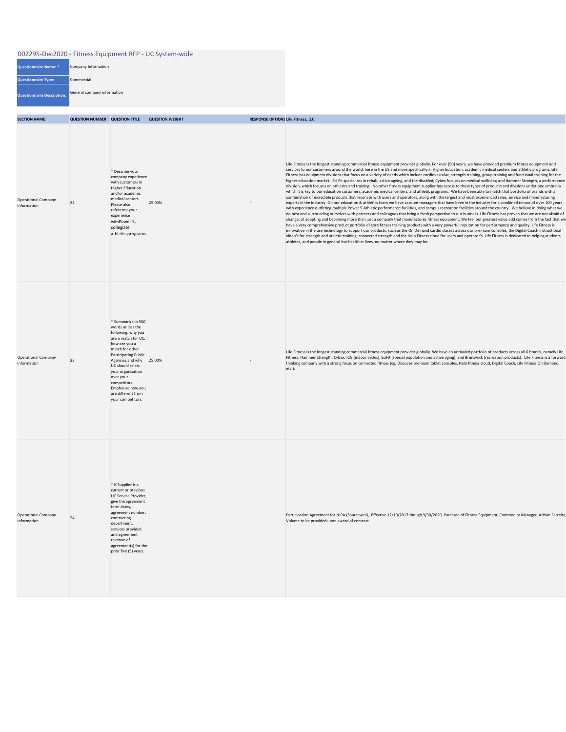| <b>Questionnaire Name: *</b>      | Company Information         |
|-----------------------------------|-----------------------------|
| <b>Questionnaire Type:</b>        | Commercial                  |
| <b>Questionnaire Description:</b> | General company information |

| <b>SECTION NAME</b>                       | <b>QUESTION NUMBER QUESTION TITLE</b> |                                                                                                                                                                                                                                                                                                                           | <b>QUESTION WEIGHT</b> | <b>RESPONSE OPTIONS Life Fitness, LLC</b> |                                                                                                                                                                                                                                                                                                                                                                                                                                                                                                                                                                                                                                                                                                                                                                                                                                                                                                                                                                                                                                                                                                                                                                                                                                                                                                                                                                                                                                                                                                                                                                                                                                                                                                                                                                                                                                                                                                                                                                                                                                                                                                                                                                                                                                                                                                                                                                                                             |
|-------------------------------------------|---------------------------------------|---------------------------------------------------------------------------------------------------------------------------------------------------------------------------------------------------------------------------------------------------------------------------------------------------------------------------|------------------------|-------------------------------------------|-------------------------------------------------------------------------------------------------------------------------------------------------------------------------------------------------------------------------------------------------------------------------------------------------------------------------------------------------------------------------------------------------------------------------------------------------------------------------------------------------------------------------------------------------------------------------------------------------------------------------------------------------------------------------------------------------------------------------------------------------------------------------------------------------------------------------------------------------------------------------------------------------------------------------------------------------------------------------------------------------------------------------------------------------------------------------------------------------------------------------------------------------------------------------------------------------------------------------------------------------------------------------------------------------------------------------------------------------------------------------------------------------------------------------------------------------------------------------------------------------------------------------------------------------------------------------------------------------------------------------------------------------------------------------------------------------------------------------------------------------------------------------------------------------------------------------------------------------------------------------------------------------------------------------------------------------------------------------------------------------------------------------------------------------------------------------------------------------------------------------------------------------------------------------------------------------------------------------------------------------------------------------------------------------------------------------------------------------------------------------------------------------------------|
| <b>Operational Company</b><br>Information | 22                                    | * Describe your<br>company experience<br>with customers in<br><b>Higher Education</b><br>and/or academic<br>medical centers.<br>Please also<br>reference your<br>experience<br>withPower 5,<br>collegiate<br>athleticsprograms.                                                                                           | 25.00%                 |                                           | Life Fitness is the longest standing commercial fitness equipment provider globally. For over (50) years, we have provided premium fitness equipment and<br>services to our customers around the world, here in the US and more specifically in Higher Education, academic medical centers and athletic programs. Life<br>Fitness has equipment divisions that focus on a variety of needs which include cardiovascular, strength training, group training and functional training for the<br>higher education market. Sci Fit specializes in rehab, active ageing, and the disabled; Cybex focuses on medical wellness; and Hammer Strength, a performance<br>division, which focuses on athletics and training. No other fitness equipment supplier has access to these types of products and divisions under one umbrella<br>which it is key to our education customers, academic medical centers, and athletic programs. We have been able to match that portfolio of brands with a<br>combination of incredible products that resonate with users and operators, along with the largest and most experienced sales, service and manufacturing<br>experts in the industry. On our education & athletics team we have account managers that have been in the industry for a combined tenure of over 100 years<br>with experience outfitting multiple Power 5 Athletic performance facilities, and campus recreation facilities around the country. We believe in doing what we<br>do best and surrounding ourselves with partners and colleagues that bring a fresh perspective to our business. Life Fitness has proven that we are not afraid of<br>change, of adapting and becoming more than just a company that manufactures fitness equipment. We feel our greatest value add comes from the fact that we<br>have a very comprehensive product portfolio of core fitness training products with a very powerful reputation for performance and quality. Life Fitness is<br>innovative in the use technology to support our products, such as the On Demand cardio classes across our premium consoles, the Digital Coach instructional<br>video's for strength and athletic training, connected strength and the Halo Fitness cloud for users and operator's. Life Fitness is dedicated to helping students,<br>athletes, and people in general live healthier lives, no matter where they may be. |
| <b>Operational Company</b><br>Information | 23                                    | * Summarize in 500<br>words or less the<br>following: why you<br>are a match for UC,<br>how are you a<br>match for other<br><b>Participating Public</b><br>Agencies, and why 25.00%<br>UC should select<br>your organization<br>over your<br>competitors.<br>Emphasize how you<br>are different from<br>your competitors. |                        |                                           | Life Fitness is the longest standing commercial fitness equipment provider globally. We have an unrivaled portfolio of products across all 6 brands, namely Life<br>Fitness, Hammer Strength, Cybex, ICG (indoor cycles), SciFit (special population and active aging), and Brunswick (recreation products). Life Fitness is a forward<br>thinking company with a strong focus on connected fitness (eg, Discover premium tablet consoles, Halo fitness cloud, Digital Coach, Life Fitness On Demand,<br>etc.).                                                                                                                                                                                                                                                                                                                                                                                                                                                                                                                                                                                                                                                                                                                                                                                                                                                                                                                                                                                                                                                                                                                                                                                                                                                                                                                                                                                                                                                                                                                                                                                                                                                                                                                                                                                                                                                                                             |
| <b>Operational Company</b><br>Information | 24                                    | $*$ If Supplier is a<br>current or previous<br>UC Service Provider,<br>give the agreement<br>term dates,<br>agreement number,<br>contracting<br>department,<br>services provided<br>and agreement<br>revenue of<br>agreement(s) for the<br>prior five (5) years.                                                          |                        |                                           | Participation Agreement for NJPA (Sourcewell), Effective 12/19/2017 though 9/30/2020, Purchase of Fitness Equipment, Commodity Manager, Adrian Ferreira<br>Volume to be provided upon award of contract.                                                                                                                                                                                                                                                                                                                                                                                                                                                                                                                                                                                                                                                                                                                                                                                                                                                                                                                                                                                                                                                                                                                                                                                                                                                                                                                                                                                                                                                                                                                                                                                                                                                                                                                                                                                                                                                                                                                                                                                                                                                                                                                                                                                                    |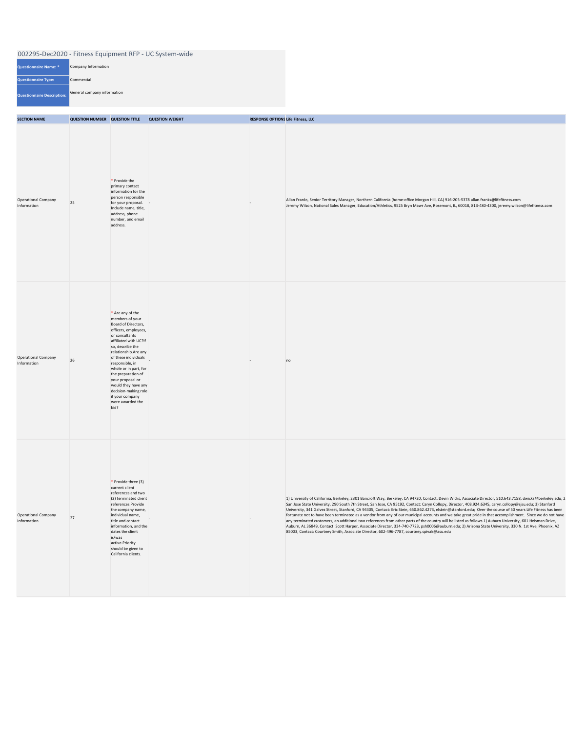| Questionnaire Name: *             | Company Information         |
|-----------------------------------|-----------------------------|
| <b>Questionnaire Type:</b>        | Commercial                  |
| <b>Questionnaire Description:</b> | General company information |

| <b>SECTION NAME</b>                       | <b>QUESTION NUMBER QUESTION TITLE</b> |                                                                                                                                                                                                                                                                                                                                                                                          | <b>QUESTION WEIGHT</b> | <b>RESPONSE OPTIONS Life Fitness, LLC</b> |                                                                                                                                                                                                                                                                                                                                                                                                                                                                                                                                                                                                                                                                                                                                                                                                                                                                                                                                                                                                                                                                             |
|-------------------------------------------|---------------------------------------|------------------------------------------------------------------------------------------------------------------------------------------------------------------------------------------------------------------------------------------------------------------------------------------------------------------------------------------------------------------------------------------|------------------------|-------------------------------------------|-----------------------------------------------------------------------------------------------------------------------------------------------------------------------------------------------------------------------------------------------------------------------------------------------------------------------------------------------------------------------------------------------------------------------------------------------------------------------------------------------------------------------------------------------------------------------------------------------------------------------------------------------------------------------------------------------------------------------------------------------------------------------------------------------------------------------------------------------------------------------------------------------------------------------------------------------------------------------------------------------------------------------------------------------------------------------------|
| <b>Operational Company</b><br>Information | 25                                    | $*$ Provide the<br>primary contact<br>information for the<br>person responsible<br>for your proposal. -<br>Include name, title,<br>address, phone<br>number, and email<br>address.                                                                                                                                                                                                       |                        | $\overline{a}$                            | Allan Franks, Senior Territory Manager, Northern California (home-office Morgan Hill, CA) 916-205-5378 allan.franks@lifefitness.com<br>Jeremy Wilson, National Sales Manager, Education/Athletics, 9525 Bryn Mawr Ave, Rosemont, IL, 60018, 813-480-4300, jeremy.wilson@lifefitness.com                                                                                                                                                                                                                                                                                                                                                                                                                                                                                                                                                                                                                                                                                                                                                                                     |
| <b>Operational Company</b><br>Information | 26                                    | $*$ Are any of the<br>members of your<br>Board of Directors,<br>officers, employees,<br>or consultants<br>affiliated with UC?If<br>so, describe the<br>relationship. Are any<br>of these individuals<br>responsible, in<br>whole or in part, for<br>the preparation of<br>your proposal or<br>would they have any<br>decision-making role<br>if your company<br>were awarded the<br>bid? | $\overline{a}$         | $\overline{\phantom{a}}$                  | no                                                                                                                                                                                                                                                                                                                                                                                                                                                                                                                                                                                                                                                                                                                                                                                                                                                                                                                                                                                                                                                                          |
| <b>Operational Company</b><br>Information | 27                                    | $*$ Provide three (3)<br>current client<br>references and two<br>(2) terminated client<br>references.Provide<br>the company name,<br>individual name,<br>title and contact<br>information, and the<br>dates the client<br>is/was<br>active.Priority<br>should be given to<br>California clients.                                                                                         |                        |                                           | 1) University of California, Berkeley, 2301 Bancroft Way, Berkeley, CA 94720, Contact: Devin Wicks, Associate Director, 510.643.7158, dwicks@berkeley.edu; 2<br>San Jose State University, 290 South 7th Street, San Jose, CA 95192, Contact: Caryn Collopy, Director, 408.924.6345, caryn.collopy@sjsu.edu; 3) Stanford<br>University, 341 Galvez Street, Stanford, CA 94305, Contact: Eric Stein, 650.862.4273, elstein@stanford.edu; Over the course of 50 years Life Fitness has been<br>fortunate not to have been terminated as a vendor from any of our municipal accounts and we take great pride in that accomplishment. Since we do not have<br>any terminated customers, an additional two references from other parts of the country will be listed as follows 1) Auburn University, 601 Heisman Drive,<br>Auburn, AL 36849, Contact: Scott Harper, Associate Director, 334-740-7723, psh0006@auburn.edu; 2) Arizona State University, 330 N. 1st Ave, Phoenix, AZ<br>85003, Contact: Courtney Smith, Associate Director, 602-496-7787, courtney.spivak@asu.edu |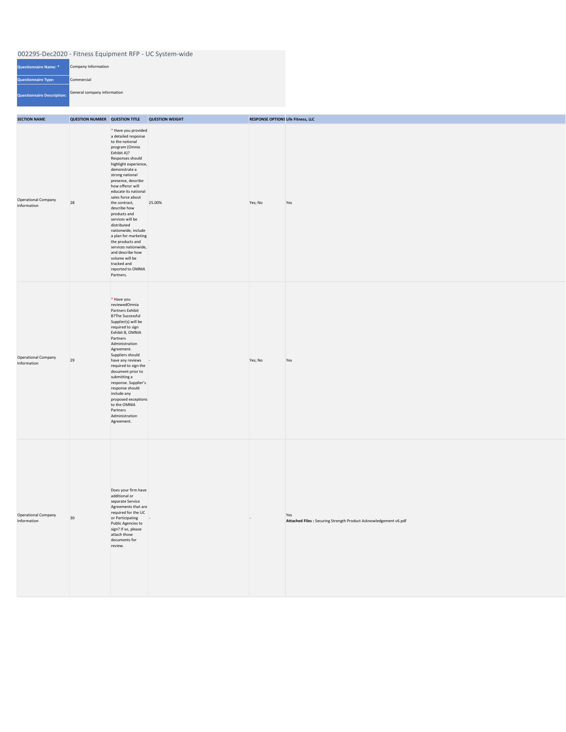| 002295-Dec2020 - Fitness Equipment RFP - UC System-wide |                             |  |  |  |
|---------------------------------------------------------|-----------------------------|--|--|--|
| Questionnaire Name: *                                   | Company Information         |  |  |  |
| <b>Questionnaire Type:</b>                              | Commercial                  |  |  |  |
| Questionnaire Description:                              | General company information |  |  |  |

| <b>SECTION NAME</b>                       | <b>QUESTION NUMBER QUESTION TITLE</b> |                                                                                                                                                                                                                                                                                                                                                                                                                                                                                                                                              | <b>QUESTION WEIGHT</b> | <b>RESPONSE OPTIONS Life Fitness, LLC</b> |                                                                          |  |
|-------------------------------------------|---------------------------------------|----------------------------------------------------------------------------------------------------------------------------------------------------------------------------------------------------------------------------------------------------------------------------------------------------------------------------------------------------------------------------------------------------------------------------------------------------------------------------------------------------------------------------------------------|------------------------|-------------------------------------------|--------------------------------------------------------------------------|--|
| Operational Company<br>Information        | 28                                    | * Have you provided<br>a detailed response<br>to the national<br>program (Omnia<br>Exhibit A)?<br>Responses should<br>highlight experience,<br>demonstrate a<br>strong national<br>presence, describe<br>how offeror will<br>educate its national<br>sales force about<br>the contract,<br>describe how<br>products and<br>services will be<br>distributed<br>nationwide, include<br>a plan for marketing<br>the products and<br>services nationwide,<br>and describe how<br>volume will be<br>tracked and<br>reported to OMNIA<br>Partners. | 25.00%                 | Yes; No                                   | Yes                                                                      |  |
| <b>Operational Company</b><br>Information | 29                                    | $*$ Have you<br>reviewedOmnia<br>Partners Exhibit<br><b>B?The Successful</b><br>Supplier(s) will be<br>required to sign<br>Exhibit B, OMNIA<br>Partners<br>Administration<br>Agreement.<br>Suppliers should<br>have any reviews -<br>required to sign the<br>document prior to<br>submitting a<br>response. Supplier's<br>response should<br>include any<br>proposed exceptions<br>to the OMNIA<br>Partners<br>Administration<br>Agreement.                                                                                                  |                        | Yes; No                                   | Yes                                                                      |  |
| <b>Operational Company</b><br>Information | 30                                    | Does your firm have<br>additional or<br>separate Service<br>Agreements that are<br>required for the UC<br>or Participating<br>Public Agencies to<br>sign? If so, please<br>attach those<br>documents for<br>review.                                                                                                                                                                                                                                                                                                                          | $\sim$ 10 $\pm$        | $\overline{ }$                            | Yes<br>Attached Files : Securing Strength Product Acknowledgement v6.pdf |  |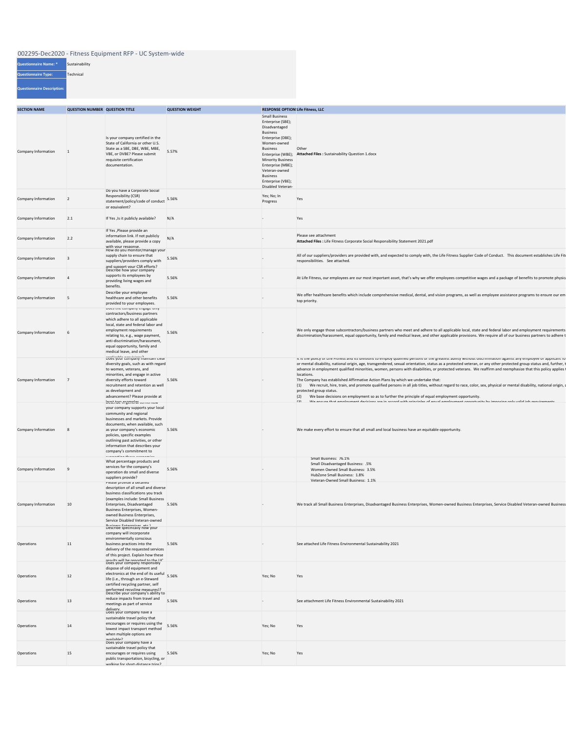| <b>SECTION NAME</b>        |           | <b>QUESTION NUMBER QUESTION TITLE</b>                                                                                                                                                                                                                                                                                               | <b>QUESTION WEIGHT</b> | <b>RESPONSE OPTION Life Fitness, LLC</b>                                                                                                                                                                                                                             |                                                                                                                                                                                                                                                                                                                                                                                                                                                                                                                                                                                                                                                                                                                                                                                                                                                                                                                       |
|----------------------------|-----------|-------------------------------------------------------------------------------------------------------------------------------------------------------------------------------------------------------------------------------------------------------------------------------------------------------------------------------------|------------------------|----------------------------------------------------------------------------------------------------------------------------------------------------------------------------------------------------------------------------------------------------------------------|-----------------------------------------------------------------------------------------------------------------------------------------------------------------------------------------------------------------------------------------------------------------------------------------------------------------------------------------------------------------------------------------------------------------------------------------------------------------------------------------------------------------------------------------------------------------------------------------------------------------------------------------------------------------------------------------------------------------------------------------------------------------------------------------------------------------------------------------------------------------------------------------------------------------------|
| <b>Company Information</b> |           | Is your company certified in the<br>State of California or other U.S.<br>State as a SBE, DBE, WBE, MBE,<br>VBE, or DVBE? Please submit<br>requisite certification<br>documentation.                                                                                                                                                 | 5.57%                  | <b>Small Business</b><br>Enterprise (SBE);<br>Disadvantaged<br><b>Business</b><br>Enterprise (DBE);<br>Women-owned<br><b>Business</b><br><b>Minority Business</b><br>Enterprise (MBE);<br>Veteran-owned<br><b>Business</b><br>Enterprise (VBE);<br>Disabled Veteran- | Other<br>Enterprise (WBE); Attached Files : Sustainability Question 1.docx                                                                                                                                                                                                                                                                                                                                                                                                                                                                                                                                                                                                                                                                                                                                                                                                                                            |
| <b>Company Information</b> |           | Do you have a Corporate Social<br>Responsibility (CSR)<br>statement/policy/code of conduct<br>or equivalent?                                                                                                                                                                                                                        | 5.56%                  | Yes; No; In<br>Progress                                                                                                                                                                                                                                              | Yes                                                                                                                                                                                                                                                                                                                                                                                                                                                                                                                                                                                                                                                                                                                                                                                                                                                                                                                   |
| <b>Company Information</b> | 2.1       | If Yes, Is it publicly available?                                                                                                                                                                                                                                                                                                   | N/A                    | $\overline{\phantom{0}}$                                                                                                                                                                                                                                             | Yes                                                                                                                                                                                                                                                                                                                                                                                                                                                                                                                                                                                                                                                                                                                                                                                                                                                                                                                   |
| Company Information        | 2.2       | If Yes , Please provide an<br>information link. If not publicly<br>available, please provide a copy<br>with your response.                                                                                                                                                                                                          | N/A                    |                                                                                                                                                                                                                                                                      | Please see attachment<br>Attached Files : Life Fitness Corporate Social Responsibility Statement 2021.pdf                                                                                                                                                                                                                                                                                                                                                                                                                                                                                                                                                                                                                                                                                                                                                                                                             |
| Company Information        |           | How do you monitor/manage your<br>supply chain to ensure that<br>suppliers/providers comply with<br>and support vour CSR efforts?<br>Describe how your company                                                                                                                                                                      | 5.56%                  | $\overline{a}$                                                                                                                                                                                                                                                       | All of our suppliers/providers are provided with, and expected to comply with, the Life Fitness Supplier Code of Conduct. This document establishes Life Fit<br>responsibilities. See attached.                                                                                                                                                                                                                                                                                                                                                                                                                                                                                                                                                                                                                                                                                                                       |
| <b>Company Information</b> |           | supports its employees by<br>providing living wages and<br>benefits.                                                                                                                                                                                                                                                                | 5.56%                  |                                                                                                                                                                                                                                                                      | At Life Fitness, our employees are our most important asset, that's why we offer employees competitive wages and a package of benefits to promote physic                                                                                                                                                                                                                                                                                                                                                                                                                                                                                                                                                                                                                                                                                                                                                              |
| <b>Company Information</b> |           | Describe your employee<br>healthcare and other benefits<br>provided to your employees.                                                                                                                                                                                                                                              | 5.56%                  |                                                                                                                                                                                                                                                                      | We offer healthcare benefits which include comprehensive medical, dental, and vision programs, as well as employee assistance programs to ensure our em<br>top priority.                                                                                                                                                                                                                                                                                                                                                                                                                                                                                                                                                                                                                                                                                                                                              |
| <b>Company Information</b> |           | Does the company engage only<br>contractors/business partners<br>which adhere to all applicable<br>local, state and federal labor and<br>employment requirements<br>relating to, e.g., wage payment,<br>anti-discrimination/harassment,<br>equal opportunity, family and<br>medical leave, and other                                | 5.56%                  |                                                                                                                                                                                                                                                                      | We only engage those subcontractors/business partners who meet and adhere to all applicable local, state and federal labor and employment requirements<br>discrimination/harassment, equal opportunity, family and medical leave, and other applicable provisions. We require all of our business partners to adhere t                                                                                                                                                                                                                                                                                                                                                                                                                                                                                                                                                                                                |
| <b>Company Information</b> |           | Does your company maintain clear<br>diversity goals, such as with regard<br>to women, veterans, and<br>minorities, and engage in active<br>diversity efforts toward<br>recruitment and retention as well<br>as development and<br>advancement? Please provide at                                                                    | 5.56%                  |                                                                                                                                                                                                                                                                      | It is the policy of Life Fitness and its divisions to employ qualified persons of the greatest ability without discrimination against any employee or applicant fo<br>or mental disability, national origin, age, transgendered, sexual orientation, status as a protected veteran, or any other protected group status and, further, t<br>advance in employment qualified minorities, women, persons with disabilities, or protected veterans. We reaffirm and reemphasize that this policy applies<br>locations.<br>The Company has established Affirmative Action Plans by which we undertake that:<br>We recruit, hire, train, and promote qualified persons in all job titles, without regard to race, color, sex, physical or mental disability, national origin, a<br>(1)<br>protected group status.<br>We base decisions on employment so as to further the principle of equal employment opportunity.<br>(2) |
| <b>Company Information</b> |           | best the migenel af terms now<br>your company supports your local<br>community and regional<br>businesses and markets. Provide<br>documents, when available, such<br>as your company's economic<br>policies, specific examples<br>outlining past activities, or other<br>information that describes your<br>company's commitment to | 5.56%                  |                                                                                                                                                                                                                                                                      | 121<br>We encure that employment decisions are in accord with principles of equal employment opportunity by imposing only valid ioh requirements<br>We make every effort to ensure that all small and local business have an equitable opportunity.                                                                                                                                                                                                                                                                                                                                                                                                                                                                                                                                                                                                                                                                   |
| <b>Company Information</b> | ∣q.       | cunnarting these assumentes<br>What percentage products and<br>services for the company's<br>operation do small and diverse<br>suppliers provide?                                                                                                                                                                                   | 5.56%                  |                                                                                                                                                                                                                                                                      | Small Business: 76.1%<br>Small Disadvantaged Business: .5%<br>Women Owned Small Business: 3.5%<br>HubZone Small Business: 1.8%<br>Veteran-Owned Small Business: 1.1%                                                                                                                                                                                                                                                                                                                                                                                                                                                                                                                                                                                                                                                                                                                                                  |
| <b>Company Information</b> | 10        | Please provide a detailed<br>description of all small and diverse<br>business classifications you track<br>(examples include: Small Business<br>Enterprises, Disadvantaged<br>Business Enterprises, Women-<br>owned Business Enterprises,<br>Service Disabled Veteran-owned                                                         | 5.56%                  |                                                                                                                                                                                                                                                                      | We track all Small Business Enterprises, Disadvantaged Business Enterprises, Women-owned Business Enterprises, Service Disabled Veteran-owned Business                                                                                                                                                                                                                                                                                                                                                                                                                                                                                                                                                                                                                                                                                                                                                                |
| <b>Operations</b>          | <b>11</b> | <b>Business Enterprises ats \</b><br>Describe specifically how your<br>company will incorporate<br>environmentally conscious<br>business practices into the<br>delivery of the requested services<br>of this project. Explain how these<br>The off to the tender of lliw and the                                                    | 5.56%                  |                                                                                                                                                                                                                                                                      | See attached Life Fitness Environmental Sustainability 2021                                                                                                                                                                                                                                                                                                                                                                                                                                                                                                                                                                                                                                                                                                                                                                                                                                                           |
| <b>Operations</b>          | 12        | Does your company responsibly<br>dispose of old equipment and<br>electronics at the end of its useful 5.56%<br>life (i.e., through an e-Steward<br>certified recycling partner, self<br>nerformed recycling measures)?                                                                                                              |                        | Yes; No                                                                                                                                                                                                                                                              | Yes                                                                                                                                                                                                                                                                                                                                                                                                                                                                                                                                                                                                                                                                                                                                                                                                                                                                                                                   |
| <b>Operations</b>          | 13        | Describe your company's ability to<br>reduce impacts from travel and<br>meetings as part of service<br>deliverv.                                                                                                                                                                                                                    | 5.56%                  |                                                                                                                                                                                                                                                                      | See attachment Life Fitness Environmental Sustainability 2021                                                                                                                                                                                                                                                                                                                                                                                                                                                                                                                                                                                                                                                                                                                                                                                                                                                         |
| Operations                 | 14        | Does your company have a<br>sustainable travel policy that<br>encourages or requires using the<br>lowest impact transport method<br>when multiple options are<br>availahle?                                                                                                                                                         | 5.56%                  | Yes; No                                                                                                                                                                                                                                                              | Yes                                                                                                                                                                                                                                                                                                                                                                                                                                                                                                                                                                                                                                                                                                                                                                                                                                                                                                                   |
| Operations                 | 15        | Does your company have a<br>sustainable travel policy that<br>encourages or requires using<br>public transportation, bicycling, or<br>walking for short-distance trips?                                                                                                                                                             | 5.56%                  | Yes; No                                                                                                                                                                                                                                                              | Yes                                                                                                                                                                                                                                                                                                                                                                                                                                                                                                                                                                                                                                                                                                                                                                                                                                                                                                                   |

| <b>Questionnaire Name: *</b> | Sustainability |
|------------------------------|----------------|
| <b>Questionnaire Type:</b>   | Technical      |
| Questionnaire Description:   |                |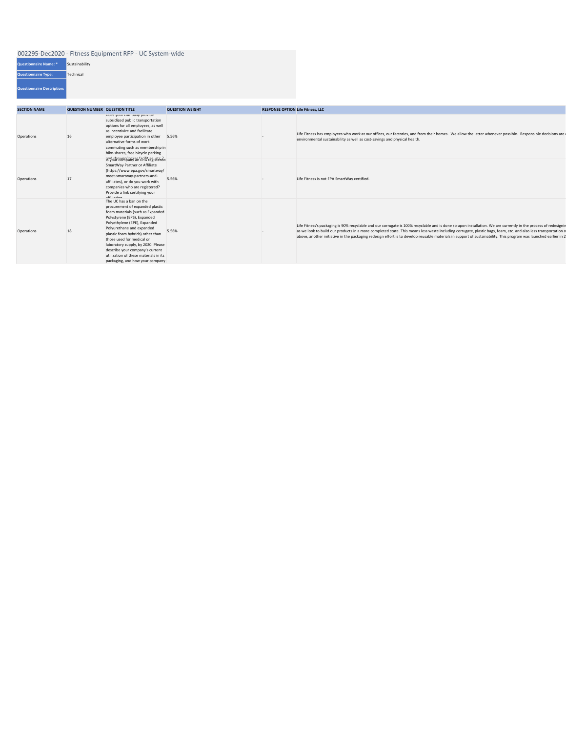| <b>Questionnaire Name: *</b>      | Sustainability |
|-----------------------------------|----------------|
| <b>Questionnaire Type:</b>        | Technical      |
| <b>Questionnaire Description:</b> |                |

| <b>SECTION NAME</b> | <b>QUESTION NUMBER QUESTION TITLE</b> |                                                                                                                                                                                                                                                                                                                                                                                                                  | <b>QUESTION WEIGHT</b> | <b>RESPONSE OPTION Life Fitness, LLC</b> |                                                                                                                                                                                                                                                                                                                                                                                                                                                                                                        |
|---------------------|---------------------------------------|------------------------------------------------------------------------------------------------------------------------------------------------------------------------------------------------------------------------------------------------------------------------------------------------------------------------------------------------------------------------------------------------------------------|------------------------|------------------------------------------|--------------------------------------------------------------------------------------------------------------------------------------------------------------------------------------------------------------------------------------------------------------------------------------------------------------------------------------------------------------------------------------------------------------------------------------------------------------------------------------------------------|
| Operations          | 16                                    | Does your company provide<br>subsidized public transportation<br>options for all employees, as well<br>as incentivize and facilitate<br>employee participation in other<br>alternative forms of work<br>commuting such as membership in<br>bike-shares, free bicycle parking                                                                                                                                     | 5.56%                  |                                          | Life Fitness has employees who work at our offices, our factories, and from their homes. We allow the latter whenever possible. Responsible decisions are<br>environmental sustainability as well as cost-savings and physical health.                                                                                                                                                                                                                                                                 |
| Operations          | 17                                    | and shower/locker facilities atc 2<br>SmartWay Partner or Affiliate<br>(https://www.epa.gov/smartway/<br>meet-smartway-partners-and-<br>affiliates), or do you work with<br>companies who are registered?<br>Provide a link certifying your<br>affiliation                                                                                                                                                       | 5.56%                  |                                          | Life Fitness is not EPA SmartWay certified.                                                                                                                                                                                                                                                                                                                                                                                                                                                            |
| Operations          | 18                                    | The UC has a ban on the<br>procurement of expanded plastic<br>foam materials (such as Expanded<br>Polystyrene (EPS), Expanded<br>Polyethylene (EPE), Expanded<br>Polyurethane and expanded<br>plastic foam hybrids) other than<br>those used for medical or<br>laboratory supply, by 2020. Please<br>describe your company's current<br>utilization of these materials in its<br>packaging, and how your company | 5.56%                  |                                          | Life Fitness's packaging is 90% recyclable and our corrugate is 100% recyclable and is done so upon installation. We are currently in the process of redesigning<br>as we look to build our products in a more completed state. This means less waste including corrugate, plastic bags, foam, etc. and also less transportation o<br>above, another initiative in the packaging redesign effort is to develop reusable materials in support of sustainability. This program was launched earlier in 2 |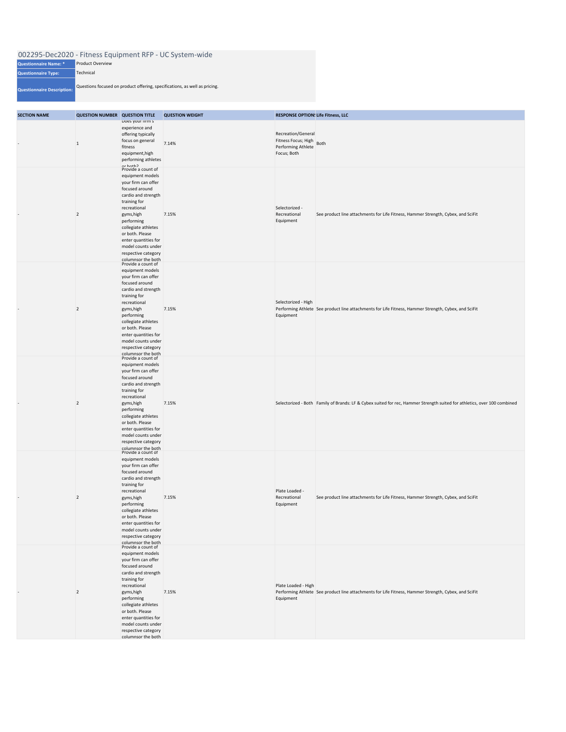| <b>SECTION NAME</b>      | <b>QUESTION NUMBER QUESTION TITLE</b> |                                                                                                                                                                                                                                                                                                         | <b>QUESTION WEIGHT</b> | <b>RESPONSE OPTIONS Life Fitness, LLC</b>                                           |                                                                                                                          |
|--------------------------|---------------------------------------|---------------------------------------------------------------------------------------------------------------------------------------------------------------------------------------------------------------------------------------------------------------------------------------------------------|------------------------|-------------------------------------------------------------------------------------|--------------------------------------------------------------------------------------------------------------------------|
|                          | $\vert$ 1                             | Does your firm's<br>experience and<br>offering typically<br>focus on general<br>fitness<br>equipment, high<br>performing athletes<br>or hoth?<br>Provide a count of                                                                                                                                     | 7.14%                  | Recreation/General<br>Fitness Focus; High Both<br>Performing Athlete<br>Focus; Both |                                                                                                                          |
| $\overline{\phantom{a}}$ | $\overline{2}$                        | equipment models<br>your firm can offer<br>focused around<br>cardio and strength<br>training for<br>recreational<br>gyms, high<br>performing<br>collegiate athletes<br>or both. Please<br>enter quantities for<br>model counts under<br>respective category<br>columnsor the both                       | 7.15%                  | Selectorized -<br>Recreational<br>Equipment                                         | See product line attachments for Life Fitness, Hammer Strength, Cybex, and SciFit                                        |
|                          | $\overline{2}$                        | Provide a count of<br>equipment models<br>your firm can offer<br>focused around<br>cardio and strength<br>training for<br>recreational<br>gyms, high<br>performing<br>collegiate athletes<br>or both. Please<br>enter quantities for<br>model counts under<br>respective category<br>columnsor the both | 7.15%                  | Selectorized - High<br>Equipment                                                    | Performing Athlete See product line attachments for Life Fitness, Hammer Strength, Cybex, and SciFit                     |
|                          | $\overline{2}$                        | Provide a count of<br>equipment models<br>your firm can offer<br>focused around<br>cardio and strength<br>training for<br>recreational<br>gyms, high<br>performing<br>collegiate athletes<br>or both. Please<br>enter quantities for<br>model counts under<br>respective category<br>columnsor the both | 7.15%                  |                                                                                     | Selectorized - Both Family of Brands: LF & Cybex suited for rec, Hammer Strength suited for athletics, over 100 combined |
|                          | $\overline{2}$                        | Provide a count of<br>equipment models<br>your firm can offer<br>focused around<br>cardio and strength<br>training for<br>recreational<br>gyms, high<br>performing<br>collegiate athletes<br>or both. Please<br>enter quantities for<br>model counts under<br>respective category<br>columnsor the both | 7.15%                  | Plate Loaded -<br>Recreational<br>Equipment                                         | See product line attachments for Life Fitness, Hammer Strength, Cybex, and SciFit                                        |
|                          | $\overline{2}$                        | Provide a count of<br>equipment models<br>your firm can offer<br>focused around<br>cardio and strength<br>training for<br>recreational<br>gyms, high<br>performing<br>collegiate athletes<br>or both. Please<br>enter quantities for<br>model counts under<br>respective category<br>columnsor the both | 7.15%                  | Plate Loaded - High<br>Equipment                                                    | Performing Athlete See product line attachments for Life Fitness, Hammer Strength, Cybex, and SciFit                     |

| 002295-Dec2020 - Fitness Equipment RFP - UC System-wide |                                                                            |  |  |  |  |
|---------------------------------------------------------|----------------------------------------------------------------------------|--|--|--|--|
| <b>Questionnaire Name: *</b>                            | <b>Product Overview</b>                                                    |  |  |  |  |
| <b>Questionnaire Type:</b>                              | Technical                                                                  |  |  |  |  |
| <b>Questionnaire Description:</b>                       | Questions focused on product offering, specifications, as well as pricing. |  |  |  |  |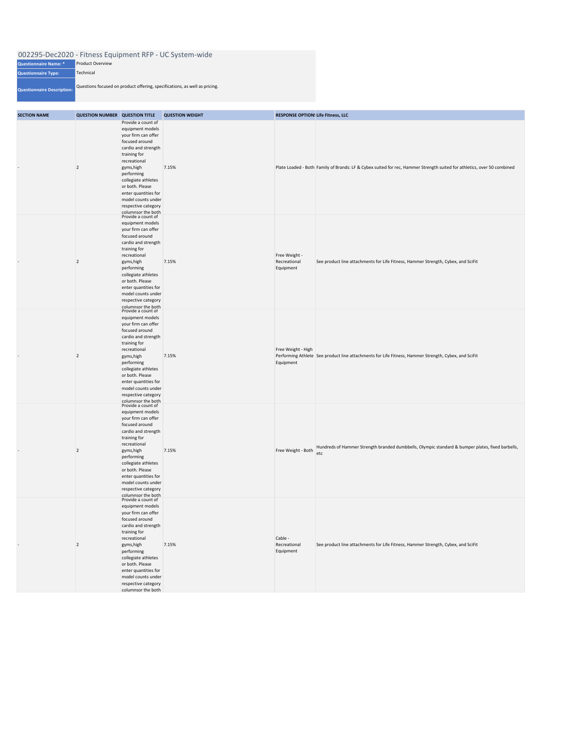| 002295-Dec2020 - Fitness Equipment RFP - UC System-wide |                                                                            |  |  |  |
|---------------------------------------------------------|----------------------------------------------------------------------------|--|--|--|
| Questionnaire Name: *                                   | <b>Product Overview</b>                                                    |  |  |  |
| <b>Questionnaire Type:</b>                              | Technical                                                                  |  |  |  |
| Questionnaire Description:                              | Questions focused on product offering, specifications, as well as pricing. |  |  |  |

| <b>SECTION NAME</b> | <b>QUESTION NUMBER QUESTION TITLE</b> |                                                                                                                                                                                                                                                                                                         | <b>QUESTION WEIGHT</b> | <b>RESPONSE OPTION! Life Fitness, LLC</b>  |                                                                                                                         |
|---------------------|---------------------------------------|---------------------------------------------------------------------------------------------------------------------------------------------------------------------------------------------------------------------------------------------------------------------------------------------------------|------------------------|--------------------------------------------|-------------------------------------------------------------------------------------------------------------------------|
|                     | $\overline{2}$                        | Provide a count of<br>equipment models<br>your firm can offer<br>focused around<br>cardio and strength<br>training for<br>recreational<br>gyms, high<br>performing<br>collegiate athletes<br>or both. Please<br>enter quantities for<br>model counts under<br>respective category<br>columnsor the both | 7.15%                  |                                            | Plate Loaded - Both Family of Brands: LF & Cybex suited for rec, Hammer Strength suited for athletics, over 50 combined |
|                     | $\overline{2}$                        | Provide a count of<br>equipment models<br>your firm can offer<br>focused around<br>cardio and strength<br>training for<br>recreational<br>gyms, high<br>performing<br>collegiate athletes<br>or both. Please<br>enter quantities for<br>model counts under<br>respective category<br>columnsor the both | 7.15%                  | Free Weight -<br>Recreational<br>Equipment | See product line attachments for Life Fitness, Hammer Strength, Cybex, and SciFit                                       |
|                     | $\overline{2}$                        | Provide a count of<br>equipment models<br>your firm can offer<br>focused around<br>cardio and strength<br>training for<br>recreational<br>gyms, high<br>performing<br>collegiate athletes<br>or both. Please<br>enter quantities for<br>model counts under<br>respective category<br>columnsor the both | 7.15%                  | Free Weight - High<br>Equipment            | Performing Athlete See product line attachments for Life Fitness, Hammer Strength, Cybex, and SciFit                    |
|                     | $\overline{2}$                        | Provide a count of<br>equipment models<br>your firm can offer<br>focused around<br>cardio and strength<br>training for<br>recreational<br>gyms, high<br>performing<br>collegiate athletes<br>or both. Please<br>enter quantities for<br>model counts under<br>respective category<br>columnsor the both | 7.15%                  | Free Weight - Both                         | Hundreds of Hammer Strength branded dumbbells, Olympic standard & bumper plates, fixed barbells,<br>etc                 |
|                     | $\overline{2}$                        | Provide a count of<br>equipment models<br>your firm can offer<br>focused around<br>cardio and strength<br>training for<br>recreational<br>gyms, high<br>performing<br>collegiate athletes<br>or both. Please<br>enter quantities for<br>model counts under<br>respective category<br>columnsor the both | 7.15%                  | Cable -<br>Recreational<br>Equipment       | See product line attachments for Life Fitness, Hammer Strength, Cybex, and SciFit                                       |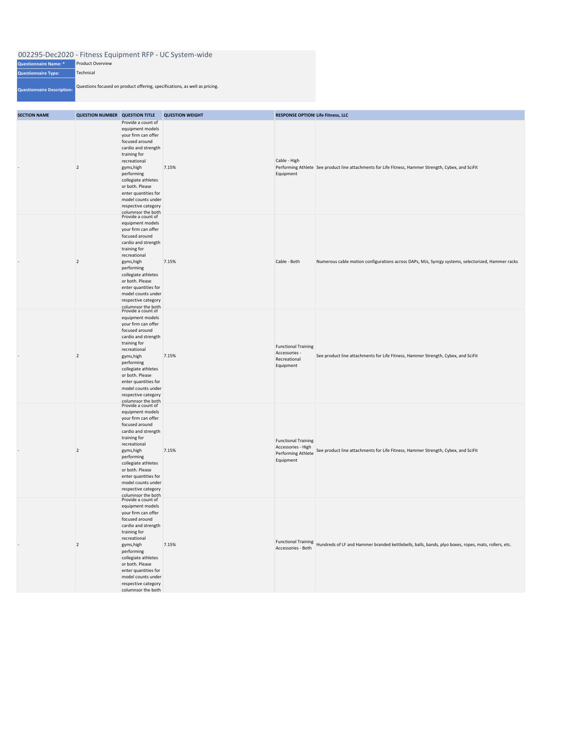**Questionnaire Type:**

|                              | 002295-Dec2020 - Fitness Equipment RFP - UC System-wide |
|------------------------------|---------------------------------------------------------|
| <b>Questionnaire Name: *</b> | <b>Product Overview</b>                                 |

**Questionnaire Description:** Questions focused on product offering, specifications, as well as pricing.

**Technical** 

| <b>SECTION NAME</b>      | <b>QUESTION NUMBER QUESTION TITLE</b> |                                                                                                                                                                                                                                                                                                         | <b>QUESTION WEIGHT</b> | <b>RESPONSE OPTION! Life Fitness, LLC</b>                                           |                                                                                                                            |
|--------------------------|---------------------------------------|---------------------------------------------------------------------------------------------------------------------------------------------------------------------------------------------------------------------------------------------------------------------------------------------------------|------------------------|-------------------------------------------------------------------------------------|----------------------------------------------------------------------------------------------------------------------------|
|                          | $\overline{2}$                        | Provide a count of<br>equipment models<br>your firm can offer<br>focused around<br>cardio and strength<br>training for<br>recreational<br>gyms, high<br>performing<br>collegiate athletes<br>or both. Please<br>enter quantities for<br>model counts under<br>respective category<br>columnsor the both | 7.15%                  | Cable - High<br>Equipment                                                           | Performing Athlete See product line attachments for Life Fitness, Hammer Strength, Cybex, and SciFit                       |
| -                        | $\overline{2}$                        | Provide a count of<br>equipment models<br>your firm can offer<br>focused around<br>cardio and strength<br>training for<br>recreational<br>gyms, high<br>performing<br>collegiate athletes<br>or both. Please<br>enter quantities for<br>model counts under<br>respective category<br>columnsor the both | 7.15%                  | Cable - Both                                                                        | Numerous cable motion configurations across DAPs, MJs, Synrgy systems, selectorized, Hammer racks                          |
| $\overline{\phantom{a}}$ | $\overline{2}$                        | Provide a count of<br>equipment models<br>your firm can offer<br>focused around<br>cardio and strength<br>training for<br>recreational<br>gyms, high<br>performing<br>collegiate athletes<br>or both. Please<br>enter quantities for<br>model counts under<br>respective category<br>columnsor the both | 7.15%                  | <b>Functional Training</b><br>Accessories -<br>Recreational<br>Equipment            | See product line attachments for Life Fitness, Hammer Strength, Cybex, and SciFit                                          |
| -                        | $\vert$ 2                             | Provide a count of<br>equipment models<br>your firm can offer<br>focused around<br>cardio and strength<br>training for<br>recreational<br>gyms, high<br>performing<br>collegiate athletes<br>or both. Please<br>enter quantities for<br>model counts under<br>respective category<br>columnsor the both | 7.15%                  | <b>Functional Training</b><br>Accessories - High<br>Performing Athlete<br>Equipment | See product line attachments for Life Fitness, Hammer Strength, Cybex, and SciFit                                          |
|                          | $\overline{2}$                        | Provide a count of<br>equipment models<br>your firm can offer<br>focused around<br>cardio and strength<br>training for<br>recreational<br>gyms, high<br>performing<br>collegiate athletes<br>or both. Please<br>enter quantities for<br>model counts under<br>respective category<br>columnsor the both | 7.15%                  |                                                                                     | Functional Training<br>Hundreds of LF and Hammer branded kettlebells, balls, bands, plyo boxes, ropes, mats, rollers, etc. |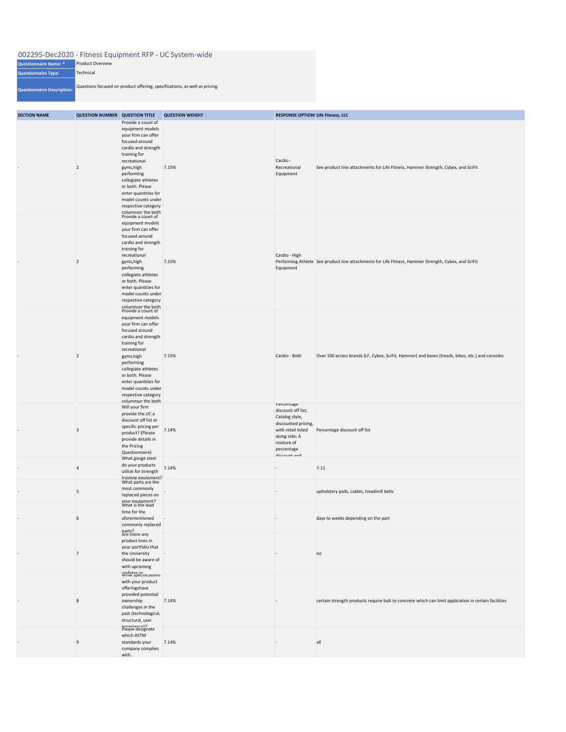|                              | 002295-Dec2020 - Fitness Equipment RFP - UC System-wide |
|------------------------------|---------------------------------------------------------|
| <b>Questionnaire Name: *</b> | <b>Product Overview</b>                                 |

**Questionnaire Type: Questionnaire Description:** Questions focused on product offering, specifications, as well as pricing. Technical

| <b>SECTION NAME</b> | <b>QUESTION NUMBER QUESTION TITLE</b> |                                                                                                                                                                                                                                                                                                         | <b>QUESTION WEIGHT</b> | <b>RESPONSE OPTION! Life Fitness, LLC</b>                                                                                                                    |                                                                                                      |
|---------------------|---------------------------------------|---------------------------------------------------------------------------------------------------------------------------------------------------------------------------------------------------------------------------------------------------------------------------------------------------------|------------------------|--------------------------------------------------------------------------------------------------------------------------------------------------------------|------------------------------------------------------------------------------------------------------|
|                     | $\overline{2}$                        | Provide a count of<br>equipment models<br>your firm can offer<br>focused around<br>cardio and strength<br>training for<br>recreational<br>gyms, high<br>performing<br>collegiate athletes<br>or both. Please<br>enter quantities for<br>model counts under<br>respective category<br>columnsor the both | 7.15%                  | Cardio -<br>Recreational<br>Equipment                                                                                                                        | See product line attachments for Life Fitness, Hammer Strength, Cybex, and SciFit                    |
|                     | $\vert$ 2                             | Provide a count of<br>equipment models<br>your firm can offer<br>focused around<br>cardio and strength<br>training for<br>recreational<br>gyms, high<br>performing<br>collegiate athletes<br>or both. Please<br>enter quantities for<br>model counts under<br>respective category<br>columnsor the both | 7.15%                  | Cardio - High<br>Equipment                                                                                                                                   | Performing Athlete See product line attachments for Life Fitness, Hammer Strength, Cybex, and SciFit |
|                     | $\vert$ 2                             | Provide a count of<br>equipment models<br>your firm can offer<br>focused around<br>cardio and strength<br>training for<br>recreational<br>gyms, high<br>performing<br>collegiate athletes<br>or both. Please<br>enter quantities for<br>model counts under<br>respective category<br>columnsor the both | 7.15%                  | Cardio - Both                                                                                                                                                | Over 100 across brands (LF, Cybex, SciFit, Hammer) and bases (treads, bikes, etc.) and consoles      |
|                     | $\overline{\mathbf{3}}$               | Will your firm<br>provide the UC a<br>discount off list or<br>specific pricing per<br>product? (Please<br>provide details in<br>the Pricing<br>Questionnaire)                                                                                                                                           | 7.14%                  | Percentage<br>discount off list;<br>Catalog style,<br>discounted pricing,<br>with retail listed<br>along side; A<br>mixture of<br>percentage<br>diccount and | Percentage discount off list                                                                         |
|                     | $\overline{4}$                        | What gauge steel<br>do your products<br>utilize for strength<br>training equipment?                                                                                                                                                                                                                     | 7.14%                  | $\overline{\phantom{a}}$                                                                                                                                     | $7 - 11$                                                                                             |
|                     | 5                                     | What parts are the<br>most commonly<br>replaced pieces on<br>vour equipment?<br>What is the lead                                                                                                                                                                                                        |                        | $\overline{\phantom{a}}$                                                                                                                                     | upholstery pads, cables, treadmill belts                                                             |
|                     | 6                                     | time for the<br>aforementioned<br>commonly replaced<br>parts?<br>Are there any                                                                                                                                                                                                                          |                        |                                                                                                                                                              | days to weeks depending on the part                                                                  |
|                     | $\overline{7}$                        | product lines in<br>your portfolio that<br>the University<br>should be aware of<br>with upcoming                                                                                                                                                                                                        |                        |                                                                                                                                                              | no                                                                                                   |
|                     | 8                                     | undates or<br>what specifications<br>with your product<br>offeringshave<br>provided potential<br>ownership<br>challenges in the<br>past (technological,<br>structural, user<br>avnerience)?<br>Please designate                                                                                         | 7.14%                  |                                                                                                                                                              | certain strength products require bolt to concrete which can limit application in certain facilities |
|                     | 9                                     | which ASTM<br>standards your<br>company complies<br>with.                                                                                                                                                                                                                                               | 7.14%                  |                                                                                                                                                              | all                                                                                                  |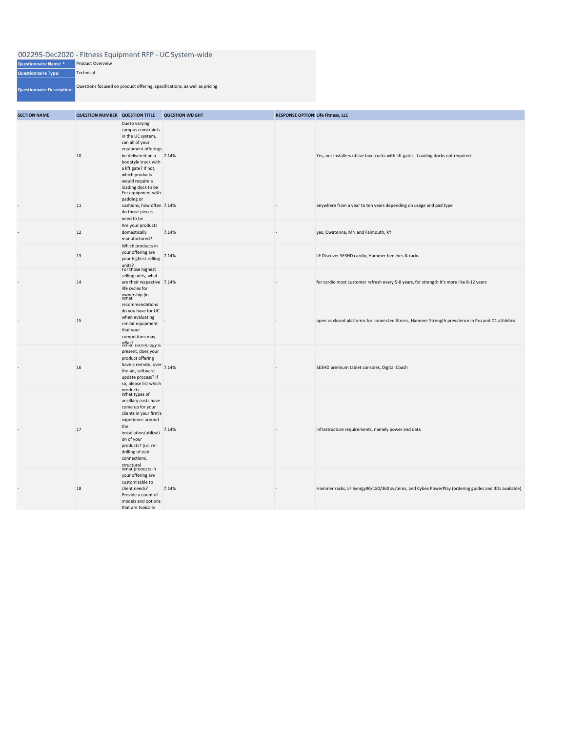| <b>Questionnaire Name: *</b>      | <b>Product Overview</b>                                                    |
|-----------------------------------|----------------------------------------------------------------------------|
| <b>Questionnaire Type:</b>        | <b>Technical</b>                                                           |
| <b>Questionnaire Description:</b> | Questions focused on product offering, specifications, as well as pricing. |

| 002295-Dec2020 - Fitness Equipment RFP - UC System-wide |  |  |  |  |  |
|---------------------------------------------------------|--|--|--|--|--|
|---------------------------------------------------------|--|--|--|--|--|

| <b>SECTION NAME</b> | <b>QUESTION NUMBER QUESTION TITLE</b> |                                                                                                                                                                                                                                    | <b>QUESTION WEIGHT</b> | <b>RESPONSE OPTION! Life Fitness, LLC</b> |                                                                                                    |  |  |
|---------------------|---------------------------------------|------------------------------------------------------------------------------------------------------------------------------------------------------------------------------------------------------------------------------------|------------------------|-------------------------------------------|----------------------------------------------------------------------------------------------------|--|--|
|                     | 10                                    | Dueto varying<br>campus constraints<br>in the UC system,<br>can all of your<br>equipment offerings<br>be delivered on a<br>box style truck with<br>a lift gate? If not,<br>which products<br>would require a<br>loading dock to be | 7.14%                  |                                           | Yes, our installers utilize box trucks with lift gates. Loading docks not required.                |  |  |
|                     | 11                                    | For equipment with<br>padding or<br>cushions, how often 7.14%<br>do those pieces<br>need to be                                                                                                                                     |                        |                                           | anywhere from a year to ten years depending on usage and pad type                                  |  |  |
|                     | 12                                    | Are your products<br>domestically<br>manufactured?                                                                                                                                                                                 | 7.14%                  |                                           | yes, Owatonna, MN and Falmouth, KY                                                                 |  |  |
|                     | 13                                    | Which products in<br>your offering are<br>your highest selling<br>units?                                                                                                                                                           | 7.14%                  |                                           | LF Discover SE3HD cardio, Hammer benches & racks                                                   |  |  |
|                     | 14                                    | For those highest<br>selling units, what<br>are their respective 7.14%<br>life cycles for<br>ownership (in                                                                                                                         |                        |                                           | for cardio most customer refresh every 5-8 years, for strength it's more like 8-12 years           |  |  |
|                     | 15                                    | recommendations<br>do you have for UC<br>when evaluating<br>similar equipment<br>that your<br>competitors may                                                                                                                      |                        |                                           | open vs closed platforms for connected fitness, Hammer Strength prevalence in Pro and D1 athletics |  |  |
|                     | 16                                    | Offer?<br>When technology is<br>present, does your<br>product offering<br>have a remote, over-<br>7.14%<br>the-air, software<br>update process? If<br>so, please list which<br>nroducts                                            |                        |                                           | SE3HD premium tablet consoles, Digital Coach                                                       |  |  |
|                     | 17                                    | What types of<br>ancillary costs have<br>come up for your<br>clients in your firm's<br>experience around<br>the<br>installation/utilizati<br>on of your<br>products? (i.e. re-<br>drilling of slab<br>connections,<br>structural   | 7.14%                  |                                           | infrastructure requirements, namely power and data                                                 |  |  |
|                     | 18                                    | What products in<br>your offering are<br>customizable to<br>client needs?<br>Provide a count of<br>models and options<br>that are tunically                                                                                        | 7.14%                  |                                           | Hammer racks, LF Synrgy90/180/360 systems, and Cybex PowerPlay (ordering guides and 3Ds available) |  |  |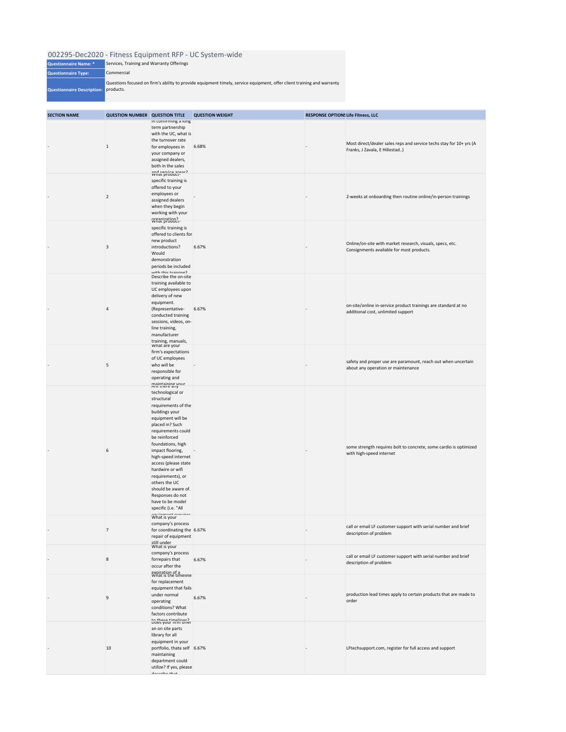| <b>SECTION NAME</b> | <b>QUESTION NUMBER QUESTION TITLE</b> |                                                                                                                                                                                                                                                                                                                                                                                                                      | <b>QUESTION WEIGHT</b> | <b>RESPONSE OPTION! Life Fitness, LLC</b> |                                                                                                        |
|---------------------|---------------------------------------|----------------------------------------------------------------------------------------------------------------------------------------------------------------------------------------------------------------------------------------------------------------------------------------------------------------------------------------------------------------------------------------------------------------------|------------------------|-------------------------------------------|--------------------------------------------------------------------------------------------------------|
|                     | $\mathbf{1}$                          | in contirming a iong<br>term partnership<br>with the UC, what is<br>the turnover rate<br>for employees in<br>your company or<br>assigned dealers,<br>both in the sales<br>and service areas?                                                                                                                                                                                                                         | 6.68%                  |                                           | Most direct/dealer sales reps and service techs stay for 10+ yrs (A<br>Franks, J Zavala, E Hillestad)  |
|                     | $\overline{2}$                        | specific training is<br>offered to your<br>employees or<br>assigned dealers<br>when they begin<br>working with your<br>Organization?<br>What product-                                                                                                                                                                                                                                                                |                        |                                           | 2-weeks at onboarding then routine online/in-person trainings                                          |
|                     | 3                                     | specific training is<br>offered to clients for<br>new product<br>introductions?<br>Would<br>demonstration<br>periods be included<br>with thic training?                                                                                                                                                                                                                                                              | 6.67%                  |                                           | Online/on-site with market research, visuals, specs, etc.<br>Consignments available for most products. |
|                     | 4                                     | Describe the on-site<br>training available to<br>UC employees upon<br>delivery of new<br>equipment.<br>(Representative-<br>conducted training<br>sessions, videos, on-<br>line training,<br>manufacturer<br>training, manuals,                                                                                                                                                                                       | 6.67%                  |                                           | on-site/online in-service product trainings are standard at no<br>additional cost, unlimited support   |
|                     | 5                                     | What are your<br>firm's expectations<br>of UC employees<br>who will be<br>responsible for<br>operating and<br>maintaining vour<br>Are there any                                                                                                                                                                                                                                                                      |                        |                                           | safety and proper use are paramount, reach out when uncertain<br>about any operation or maintenance    |
|                     | 6                                     | technological or<br>structural<br>requirements of the<br>buildings your<br>equipment will be<br>placed in? Such<br>requirements could<br>be reinforced<br>foundations, high<br>impact flooring,<br>high-speed internet<br>access (please state<br>hardwire or wifi<br>requirements), or<br>others the UC<br>should be aware of.<br>Responses do not<br>have to be model<br>specific (i.e. "All<br>anuinmant ranuirac |                        |                                           | some strength requires bolt to concrete, some cardio is optimized<br>with high-speed internet          |
|                     | $\overline{7}$                        | What is your<br>company's process<br>for coordinating the 6.67%<br>repair of equipment<br>still under                                                                                                                                                                                                                                                                                                                |                        |                                           | call or email LF customer support with serial number and brief<br>description of problem               |
|                     | $\,8$                                 | What is your<br>company's process<br>forrepairs that<br>occur after the<br>expiration of a<br>What is the timeline                                                                                                                                                                                                                                                                                                   | 6.67%                  |                                           | call or email LF customer support with serial number and brief<br>description of problem               |
|                     | 9                                     | for replacement<br>equipment that fails<br>under normal<br>operating<br>conditions? What<br>factors contribute                                                                                                                                                                                                                                                                                                       | 6.67%                  |                                           | production lead times apply to certain products that are made to<br>order                              |
|                     | 10                                    | to these timelines?<br>Does your firm offer<br>an on site parts<br>library for all<br>equipment in your<br>portfolio, thata self 6.67%<br>maintaining<br>department could<br>utilize? If yes, please<br>doceribo that                                                                                                                                                                                                |                        |                                           | LFtechsupport.com, register for full access and support                                                |

| <b>Questionnaire Name: *</b>         | Services, Training and Warranty Offerings                                                                              |
|--------------------------------------|------------------------------------------------------------------------------------------------------------------------|
| <b>Questionnaire Type:</b>           | Commercial                                                                                                             |
| Questionnaire Description: products. | Questions focused on firm's ability to provide equipment timely, service equipment, offer client training and warranty |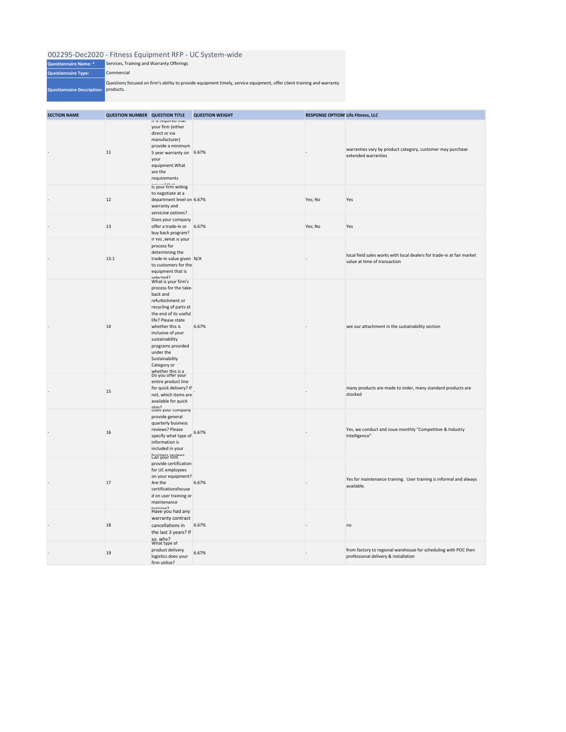| <b>Questionnaire Name: *</b>         | Services, Training and Warranty Offerings                                                                              |
|--------------------------------------|------------------------------------------------------------------------------------------------------------------------|
| <b>Questionnaire Type:</b>           | Commercial                                                                                                             |
| Questionnaire Description: products. | Questions focused on firm's ability to provide equipment timely, service equipment, offer client training and warranty |

| <b>SECTION NAME</b> | <b>QUESTION NUMBER QUESTION TITLE</b> |                                                                                                                                                                                                                                                                                                        | <b>QUESTION WEIGHT</b> | <b>RESPONSE OPTION! Life Fitness, LLC</b> |                                                                                                         |
|---------------------|---------------------------------------|--------------------------------------------------------------------------------------------------------------------------------------------------------------------------------------------------------------------------------------------------------------------------------------------------------|------------------------|-------------------------------------------|---------------------------------------------------------------------------------------------------------|
|                     | 11                                    | it is required that<br>your firm (either<br>direct or via<br>manufacturer)<br>provide a minimum<br>5 year warranty on 6.67%<br>your<br>equipment. What<br>are the<br>requirements<br>Is your firm willing                                                                                              |                        |                                           | warranties vary by product category, customer may purchase<br>extended warranties                       |
|                     | 12                                    | to negotiate at a<br>department level on 6.67%<br>warranty and<br>servicing options?                                                                                                                                                                                                                   |                        | Yes; No                                   | Yes                                                                                                     |
|                     | 13                                    | Does your company<br>offer a trade-in or 6.67%<br>buy back program?                                                                                                                                                                                                                                    |                        | Yes; No                                   | Yes                                                                                                     |
|                     | 13.1                                  | It Yes, What is your<br>process for<br>determining the<br>trade-in value given N/A<br>to customers for the<br>equipment that is<br>Shataalaz                                                                                                                                                           |                        |                                           | local field sales works with local dealers for trade-in at fair market<br>value at time of transaction  |
|                     | 14                                    | What is your firm's<br>process for the take-<br>back and<br>refurbishment or<br>recycling of parts at<br>the end of its useful<br>life? Please state<br>whether this is<br>inclusive of your<br>sustainability<br>programs provided<br>under the<br>Sustainability<br>Category or<br>whether this is a | 6.67%                  |                                           | see our attachment in the sustainability section                                                        |
|                     | 15                                    | Do you offer your<br>entire product line<br>for quick delivery? If<br>not, which items are<br>available for quick<br>shin?<br>Does your company                                                                                                                                                        |                        |                                           | many products are made to order, many standard products are<br>stocked                                  |
|                     | 16                                    | provide general<br>quarterly business<br>reviews? Please<br>specify what type of<br>information is<br>included in your<br>husiness reviews                                                                                                                                                             | 6.67%                  |                                           | Yes, we conduct and issue monthly "Competitive & Industry<br>Intelligence"                              |
|                     | 17                                    | provide certification<br>for UC employees<br>on your equipment?<br>Are the<br>certificationsfocuse<br>d on user training or<br>maintenance<br>training?                                                                                                                                                | 6.67%                  |                                           | Yes for maintenance training. User training is informal and always<br>available.                        |
|                     | 18                                    | Have you had any<br>warranty contract<br>cancellations in<br>the last 3 years? If                                                                                                                                                                                                                      | 6.67%                  |                                           | no                                                                                                      |
|                     | 19                                    | so. whv?<br>What type of<br>product delivery<br>logistics does your<br>firm utilize?                                                                                                                                                                                                                   | 6.67%                  |                                           | from factory to regional warehouse for scheduling with POC then<br>professional delivery & installation |